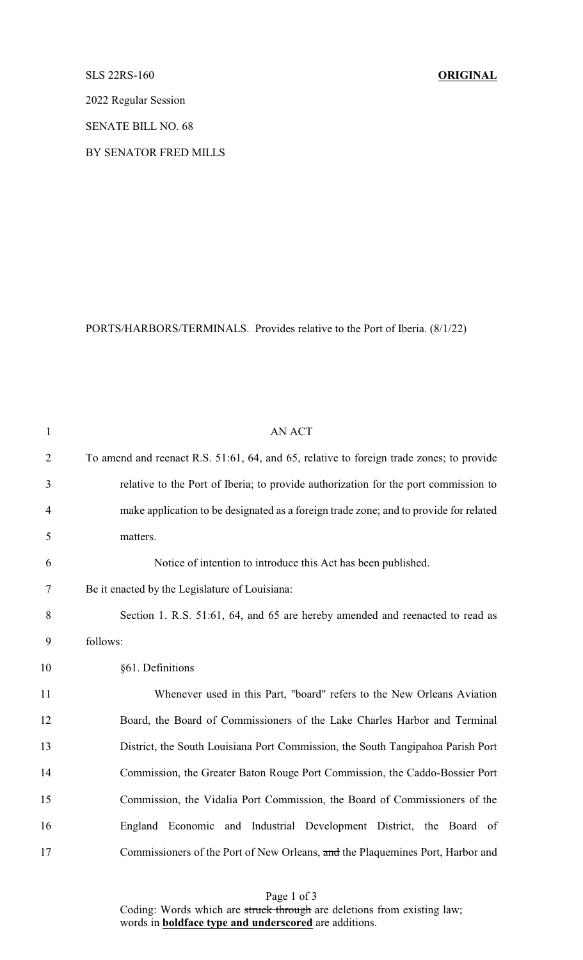## SLS 22RS-160 **ORIGINAL**

2022 Regular Session

SENATE BILL NO. 68

BY SENATOR FRED MILLS

PORTS/HARBORS/TERMINALS. Provides relative to the Port of Iberia. (8/1/22)

| 1              | <b>AN ACT</b>                                                                            |
|----------------|------------------------------------------------------------------------------------------|
| $\overline{2}$ | To amend and reenact R.S. 51:61, 64, and 65, relative to foreign trade zones; to provide |
| 3              | relative to the Port of Iberia; to provide authorization for the port commission to      |
| $\overline{4}$ | make application to be designated as a foreign trade zone; and to provide for related    |
| 5              | matters.                                                                                 |
| 6              | Notice of intention to introduce this Act has been published.                            |
| 7              | Be it enacted by the Legislature of Louisiana:                                           |
| 8              | Section 1. R.S. 51:61, 64, and 65 are hereby amended and reenacted to read as            |
| 9              | follows:                                                                                 |
| 10             | §61. Definitions                                                                         |
| 11             | Whenever used in this Part, "board" refers to the New Orleans Aviation                   |
| 12             | Board, the Board of Commissioners of the Lake Charles Harbor and Terminal                |
| 13             | District, the South Louisiana Port Commission, the South Tangipahoa Parish Port          |
| 14             | Commission, the Greater Baton Rouge Port Commission, the Caddo-Bossier Port              |
| 15             | Commission, the Vidalia Port Commission, the Board of Commissioners of the               |
| 16             | England Economic and Industrial Development District, the Board of                       |
| 17             | Commissioners of the Port of New Orleans, and the Plaquemines Port, Harbor and           |

Page 1 of 3 Coding: Words which are struck through are deletions from existing law; words in **boldface type and underscored** are additions.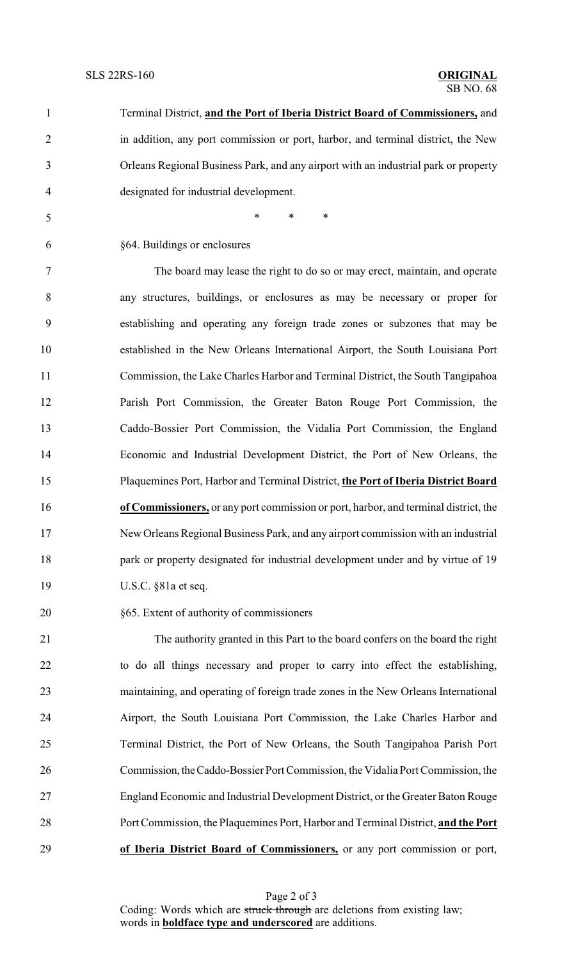| $\mathbf{1}$   | Terminal District, and the Port of Iberia District Board of Commissioners, and       |
|----------------|--------------------------------------------------------------------------------------|
| $\overline{2}$ | in addition, any port commission or port, harbor, and terminal district, the New     |
| 3              | Orleans Regional Business Park, and any airport with an industrial park or property  |
| 4              | designated for industrial development.                                               |
| 5              | $\ast$<br>$\ast$<br>∗                                                                |
| 6              | §64. Buildings or enclosures                                                         |
| 7              | The board may lease the right to do so or may erect, maintain, and operate           |
| 8              | any structures, buildings, or enclosures as may be necessary or proper for           |
| 9              | establishing and operating any foreign trade zones or subzones that may be           |
| 10             | established in the New Orleans International Airport, the South Louisiana Port       |
| 11             | Commission, the Lake Charles Harbor and Terminal District, the South Tangipahoa      |
| 12             | Parish Port Commission, the Greater Baton Rouge Port Commission, the                 |
| 13             | Caddo-Bossier Port Commission, the Vidalia Port Commission, the England              |
| 14             | Economic and Industrial Development District, the Port of New Orleans, the           |
| 15             | Plaquemines Port, Harbor and Terminal District, the Port of Iberia District Board    |
| 16             | of Commissioners, or any port commission or port, harbor, and terminal district, the |
| 17             | New Orleans Regional Business Park, and any airport commission with an industrial    |
| 18             | park or property designated for industrial development under and by virtue of 19     |
| 19             | U.S.C. §81a et seq.                                                                  |
| 20             | §65. Extent of authority of commissioners                                            |
| 21             | The authority granted in this Part to the board confers on the board the right       |
| 22             | to do all things necessary and proper to carry into effect the establishing,         |
| $\sim$         |                                                                                      |

 maintaining, and operating of foreign trade zones in the New Orleans International Airport, the South Louisiana Port Commission, the Lake Charles Harbor and Terminal District, the Port of New Orleans, the South Tangipahoa Parish Port Commission, theCaddo-Bossier Port Commission, the Vidalia Port Commission, the England Economic and Industrial Development District, or the Greater Baton Rouge Port Commission, the Plaquemines Port, Harbor and Terminal District, **and the Port of Iberia District Board of Commissioners,** or any port commission or port,

Page 2 of 3 Coding: Words which are struck through are deletions from existing law; words in **boldface type and underscored** are additions.